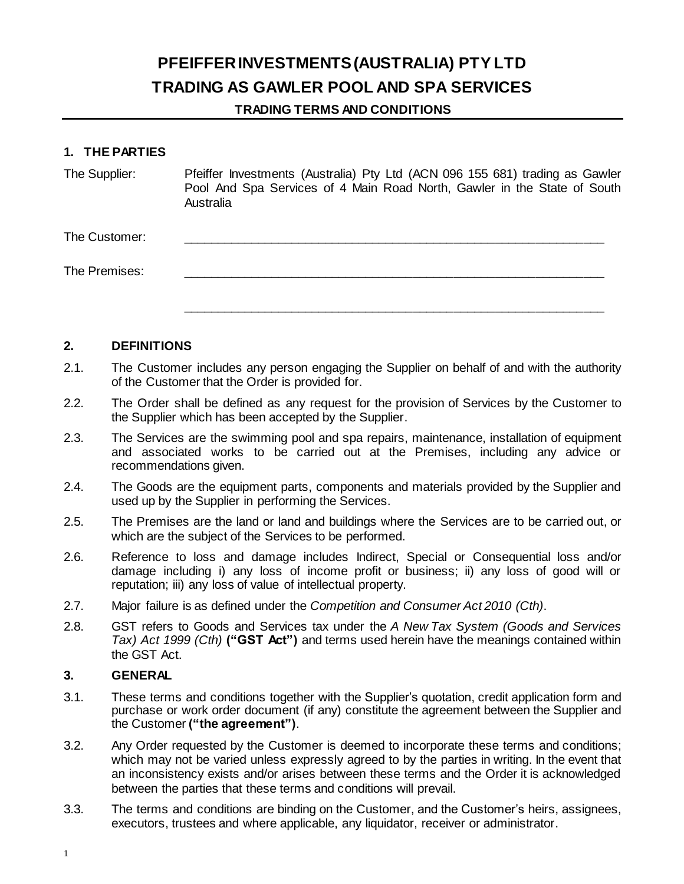# **PFEIFFER INVESTMENTS (AUSTRALIA) PTY LTD TRADING AS GAWLER POOL AND SPA SERVICES**

## **TRADING TERMS AND CONDITIONS**

#### **1. THE PARTIES**

| The Supplier: | Pfeiffer Investments (Australia) Pty Ltd (ACN 096 155 681) trading as Gawler<br>Pool And Spa Services of 4 Main Road North, Gawler in the State of South<br>Australia |
|---------------|-----------------------------------------------------------------------------------------------------------------------------------------------------------------------|
| The Customer: |                                                                                                                                                                       |
| The Premises: |                                                                                                                                                                       |
|               |                                                                                                                                                                       |

#### **2. DEFINITIONS**

- 2.1. The Customer includes any person engaging the Supplier on behalf of and with the authority of the Customer that the Order is provided for.
- 2.2. The Order shall be defined as any request for the provision of Services by the Customer to the Supplier which has been accepted by the Supplier.
- 2.3. The Services are the swimming pool and spa repairs, maintenance, installation of equipment and associated works to be carried out at the Premises, including any advice or recommendations given.
- 2.4. The Goods are the equipment parts, components and materials provided by the Supplier and used up by the Supplier in performing the Services.
- 2.5. The Premises are the land or land and buildings where the Services are to be carried out, or which are the subject of the Services to be performed.
- 2.6. Reference to loss and damage includes Indirect, Special or Consequential loss and/or damage including i) any loss of income profit or business; ii) any loss of good will or reputation; iii) any loss of value of intellectual property.
- 2.7. Major failure is as defined under the *Competition and Consumer Act 2010 (Cth)*.
- 2.8. GST refers to Goods and Services tax under the *A New Tax System (Goods and Services Tax) Act 1999 (Cth)* **("GST Act")** and terms used herein have the meanings contained within the GST Act.

## **3. GENERAL**

- 3.1. These terms and conditions together with the Supplier's quotation, credit application form and purchase or work order document (if any) constitute the agreement between the Supplier and the Customer **("the agreement")**.
- 3.2. Any Order requested by the Customer is deemed to incorporate these terms and conditions; which may not be varied unless expressly agreed to by the parties in writing. In the event that an inconsistency exists and/or arises between these terms and the Order it is acknowledged between the parties that these terms and conditions will prevail.
- 3.3. The terms and conditions are binding on the Customer, and the Customer's heirs, assignees, executors, trustees and where applicable, any liquidator, receiver or administrator.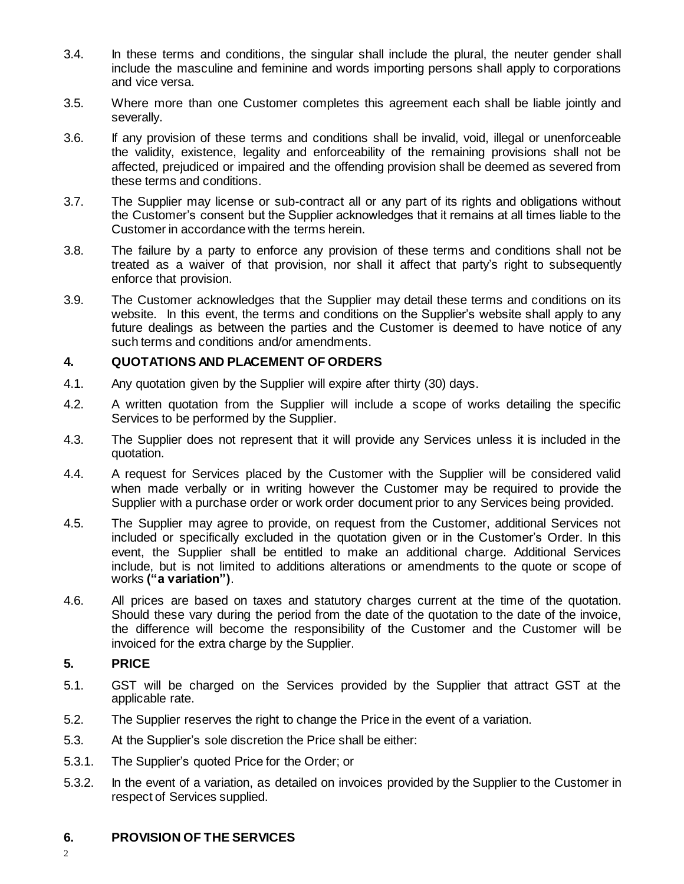- 3.4. In these terms and conditions, the singular shall include the plural, the neuter gender shall include the masculine and feminine and words importing persons shall apply to corporations and vice versa.
- 3.5. Where more than one Customer completes this agreement each shall be liable jointly and severally.
- 3.6. If any provision of these terms and conditions shall be invalid, void, illegal or unenforceable the validity, existence, legality and enforceability of the remaining provisions shall not be affected, prejudiced or impaired and the offending provision shall be deemed as severed from these terms and conditions.
- 3.7. The Supplier may license or sub-contract all or any part of its rights and obligations without the Customer's consent but the Supplier acknowledges that it remains at all times liable to the Customer in accordance with the terms herein.
- 3.8. The failure by a party to enforce any provision of these terms and conditions shall not be treated as a waiver of that provision, nor shall it affect that party's right to subsequently enforce that provision.
- 3.9. The Customer acknowledges that the Supplier may detail these terms and conditions on its website. In this event, the terms and conditions on the Supplier's website shall apply to any future dealings as between the parties and the Customer is deemed to have notice of any such terms and conditions and/or amendments.

## **4. QUOTATIONS AND PLACEMENT OF ORDERS**

- 4.1. Any quotation given by the Supplier will expire after thirty (30) days.
- 4.2. A written quotation from the Supplier will include a scope of works detailing the specific Services to be performed by the Supplier.
- 4.3. The Supplier does not represent that it will provide any Services unless it is included in the quotation.
- 4.4. A request for Services placed by the Customer with the Supplier will be considered valid when made verbally or in writing however the Customer may be required to provide the Supplier with a purchase order or work order document prior to any Services being provided.
- 4.5. The Supplier may agree to provide, on request from the Customer, additional Services not included or specifically excluded in the quotation given or in the Customer's Order. In this event, the Supplier shall be entitled to make an additional charge. Additional Services include, but is not limited to additions alterations or amendments to the quote or scope of works **("a variation")**.
- 4.6. All prices are based on taxes and statutory charges current at the time of the quotation. Should these vary during the period from the date of the quotation to the date of the invoice, the difference will become the responsibility of the Customer and the Customer will be invoiced for the extra charge by the Supplier.

## **5. PRICE**

- 5.1. GST will be charged on the Services provided by the Supplier that attract GST at the applicable rate.
- 5.2. The Supplier reserves the right to change the Price in the event of a variation.
- 5.3. At the Supplier's sole discretion the Price shall be either:
- 5.3.1. The Supplier's quoted Price for the Order; or
- 5.3.2. In the event of a variation, as detailed on invoices provided by the Supplier to the Customer in respect of Services supplied.

## **6. PROVISION OF THE SERVICES**

 $\mathfrak{Z}$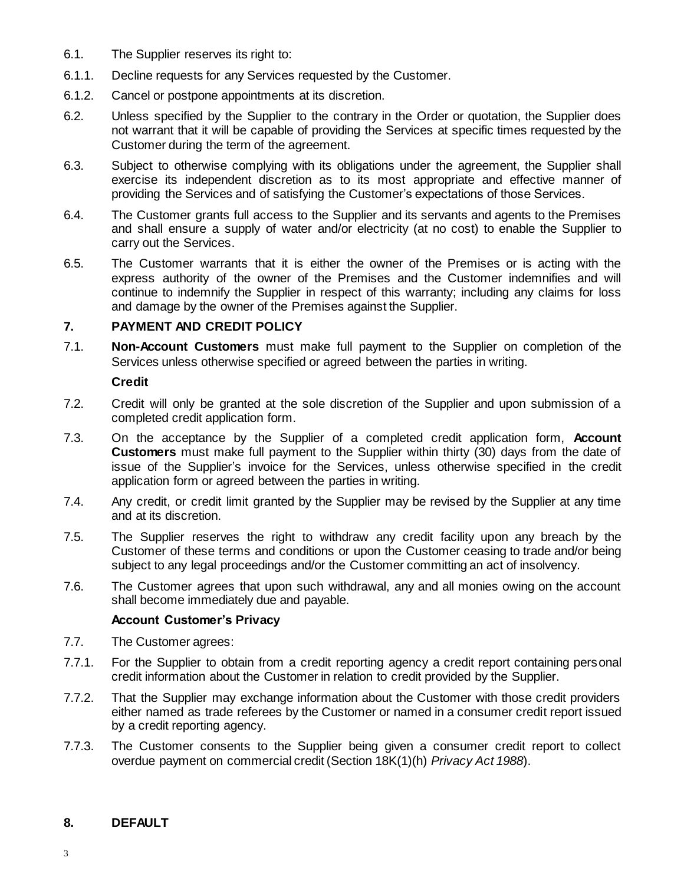- 6.1. The Supplier reserves its right to:
- 6.1.1. Decline requests for any Services requested by the Customer.
- 6.1.2. Cancel or postpone appointments at its discretion.
- 6.2. Unless specified by the Supplier to the contrary in the Order or quotation, the Supplier does not warrant that it will be capable of providing the Services at specific times requested by the Customer during the term of the agreement.
- 6.3. Subject to otherwise complying with its obligations under the agreement, the Supplier shall exercise its independent discretion as to its most appropriate and effective manner of providing the Services and of satisfying the Customer's expectations of those Services.
- 6.4. The Customer grants full access to the Supplier and its servants and agents to the Premises and shall ensure a supply of water and/or electricity (at no cost) to enable the Supplier to carry out the Services.
- 6.5. The Customer warrants that it is either the owner of the Premises or is acting with the express authority of the owner of the Premises and the Customer indemnifies and will continue to indemnify the Supplier in respect of this warranty; including any claims for loss and damage by the owner of the Premises against the Supplier.

## **7. PAYMENT AND CREDIT POLICY**

7.1. **Non-Account Customers** must make full payment to the Supplier on completion of the Services unless otherwise specified or agreed between the parties in writing.

#### **Credit**

- 7.2. Credit will only be granted at the sole discretion of the Supplier and upon submission of a completed credit application form.
- 7.3. On the acceptance by the Supplier of a completed credit application form, **Account Customers** must make full payment to the Supplier within thirty (30) days from the date of issue of the Supplier's invoice for the Services, unless otherwise specified in the credit application form or agreed between the parties in writing.
- 7.4. Any credit, or credit limit granted by the Supplier may be revised by the Supplier at any time and at its discretion.
- 7.5. The Supplier reserves the right to withdraw any credit facility upon any breach by the Customer of these terms and conditions or upon the Customer ceasing to trade and/or being subject to any legal proceedings and/or the Customer committing an act of insolvency.
- 7.6. The Customer agrees that upon such withdrawal, any and all monies owing on the account shall become immediately due and payable.

#### **Account Customer's Privacy**

- 7.7. The Customer agrees:
- 7.7.1. For the Supplier to obtain from a credit reporting agency a credit report containing personal credit information about the Customer in relation to credit provided by the Supplier.
- 7.7.2. That the Supplier may exchange information about the Customer with those credit providers either named as trade referees by the Customer or named in a consumer credit report issued by a credit reporting agency.
- 7.7.3. The Customer consents to the Supplier being given a consumer credit report to collect overdue payment on commercial credit (Section 18K(1)(h) *Privacy Act 1988*).

## **8. DEFAULT**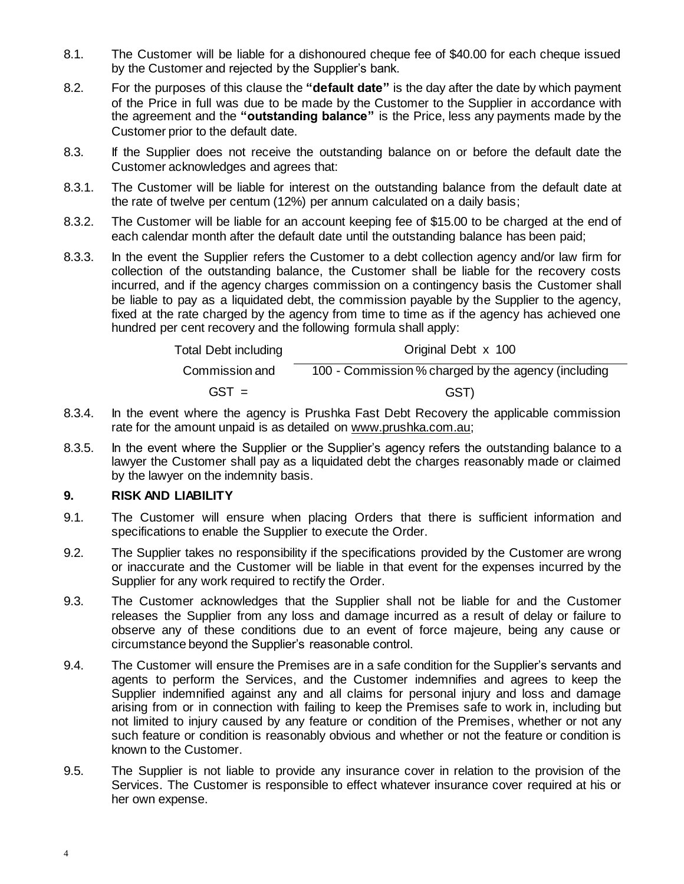- 8.1. The Customer will be liable for a dishonoured cheque fee of \$40.00 for each cheque issued by the Customer and rejected by the Supplier's bank.
- 8.2. For the purposes of this clause the **"default date"** is the day after the date by which payment of the Price in full was due to be made by the Customer to the Supplier in accordance with the agreement and the **"outstanding balance"** is the Price, less any payments made by the Customer prior to the default date.
- 8.3. If the Supplier does not receive the outstanding balance on or before the default date the Customer acknowledges and agrees that:
- 8.3.1. The Customer will be liable for interest on the outstanding balance from the default date at the rate of twelve per centum (12%) per annum calculated on a daily basis;
- 8.3.2. The Customer will be liable for an account keeping fee of \$15.00 to be charged at the end of each calendar month after the default date until the outstanding balance has been paid;
- 8.3.3. In the event the Supplier refers the Customer to a debt collection agency and/or law firm for collection of the outstanding balance, the Customer shall be liable for the recovery costs incurred, and if the agency charges commission on a contingency basis the Customer shall be liable to pay as a liquidated debt, the commission payable by the Supplier to the agency, fixed at the rate charged by the agency from time to time as if the agency has achieved one hundred per cent recovery and the following formula shall apply:

| <b>Total Debt including</b> | Original Debt x 100                                 |  |
|-----------------------------|-----------------------------------------------------|--|
| Commission and              | 100 - Commission % charged by the agency (including |  |
| $GST =$                     | GST)                                                |  |

- 8.3.4. In the event where the agency is Prushka Fast Debt Recovery the applicable commission rate for the amount unpaid is as detailed on [www.prushka.com.au](http://www.prushka.com.au/);
- 8.3.5. In the event where the Supplier or the Supplier's agency refers the outstanding balance to a lawyer the Customer shall pay as a liquidated debt the charges reasonably made or claimed by the lawyer on the indemnity basis.

## **9. RISK AND LIABILITY**

- 9.1. The Customer will ensure when placing Orders that there is sufficient information and specifications to enable the Supplier to execute the Order.
- 9.2. The Supplier takes no responsibility if the specifications provided by the Customer are wrong or inaccurate and the Customer will be liable in that event for the expenses incurred by the Supplier for any work required to rectify the Order.
- 9.3. The Customer acknowledges that the Supplier shall not be liable for and the Customer releases the Supplier from any loss and damage incurred as a result of delay or failure to observe any of these conditions due to an event of force majeure, being any cause or circumstance beyond the Supplier's reasonable control.
- 9.4. The Customer will ensure the Premises are in a safe condition for the Supplier's servants and agents to perform the Services, and the Customer indemnifies and agrees to keep the Supplier indemnified against any and all claims for personal injury and loss and damage arising from or in connection with failing to keep the Premises safe to work in, including but not limited to injury caused by any feature or condition of the Premises, whether or not any such feature or condition is reasonably obvious and whether or not the feature or condition is known to the Customer.
- 9.5. The Supplier is not liable to provide any insurance cover in relation to the provision of the Services. The Customer is responsible to effect whatever insurance cover required at his or her own expense.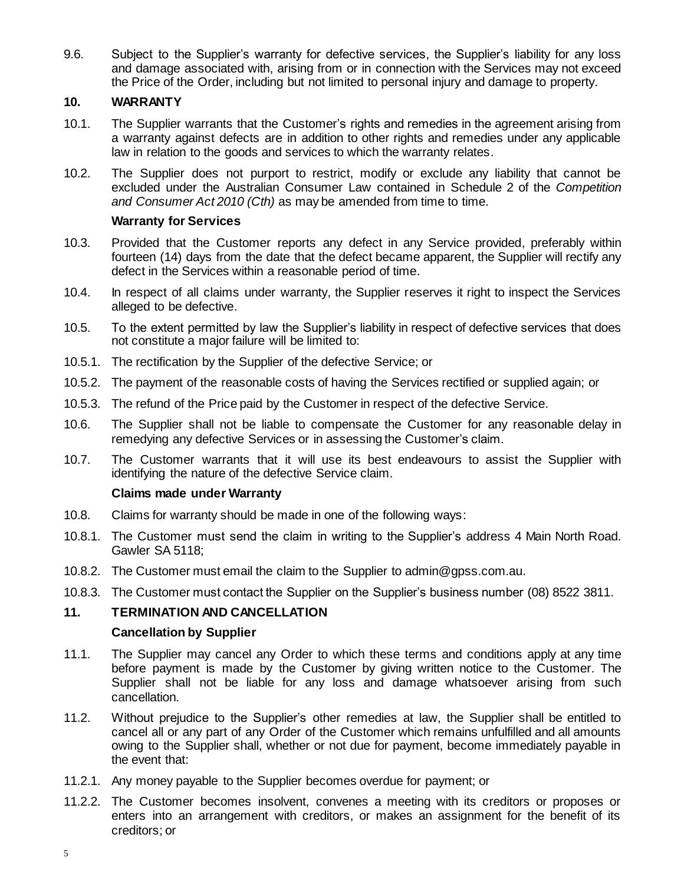9.6. Subject to the Supplier's warranty for defective services, the Supplier's liability for any loss and damage associated with, arising from or in connection with the Services may not exceed the Price of the Order, including but not limited to personal injury and damage to property.

## **10. WARRANTY**

- 10.1. The Supplier warrants that the Customer's rights and remedies in the agreement arising from a warranty against defects are in addition to other rights and remedies under any applicable law in relation to the goods and services to which the warranty relates.
- 10.2. The Supplier does not purport to restrict, modify or exclude any liability that cannot be excluded under the Australian Consumer Law contained in Schedule 2 of the *Competition and Consumer Act 2010 (Cth)* as may be amended from time to time.

#### **Warranty for Services**

- 10.3. Provided that the Customer reports any defect in any Service provided, preferably within fourteen (14) days from the date that the defect became apparent, the Supplier will rectify any defect in the Services within a reasonable period of time.
- 10.4. In respect of all claims under warranty, the Supplier reserves it right to inspect the Services alleged to be defective.
- 10.5. To the extent permitted by law the Supplier's liability in respect of defective services that does not constitute a major failure will be limited to:
- 10.5.1. The rectification by the Supplier of the defective Service; or
- 10.5.2. The payment of the reasonable costs of having the Services rectified or supplied again; or
- 10.5.3. The refund of the Price paid by the Customer in respect of the defective Service.
- 10.6. The Supplier shall not be liable to compensate the Customer for any reasonable delay in remedying any defective Services or in assessing the Customer's claim.
- 10.7. The Customer warrants that it will use its best endeavours to assist the Supplier with identifying the nature of the defective Service claim.

#### **Claims made under Warranty**

- 10.8. Claims for warranty should be made in one of the following ways:
- 10.8.1. The Customer must send the claim in writing to the Supplier's address 4 Main North Road. Gawler SA 5118;
- 10.8.2. The Customer must email the claim to the Supplier to admin@gpss.com.au.
- 10.8.3. The Customer must contact the Supplier on the Supplier's business number (08) 8522 3811.

## **11. TERMINATION AND CANCELLATION**

## **Cancellation by Supplier**

- 11.1. The Supplier may cancel any Order to which these terms and conditions apply at any time before payment is made by the Customer by giving written notice to the Customer. The Supplier shall not be liable for any loss and damage whatsoever arising from such cancellation.
- 11.2. Without prejudice to the Supplier's other remedies at law, the Supplier shall be entitled to cancel all or any part of any Order of the Customer which remains unfulfilled and all amounts owing to the Supplier shall, whether or not due for payment, become immediately payable in the event that:
- 11.2.1. Any money payable to the Supplier becomes overdue for payment; or
- 11.2.2. The Customer becomes insolvent, convenes a meeting with its creditors or proposes or enters into an arrangement with creditors, or makes an assignment for the benefit of its creditors; or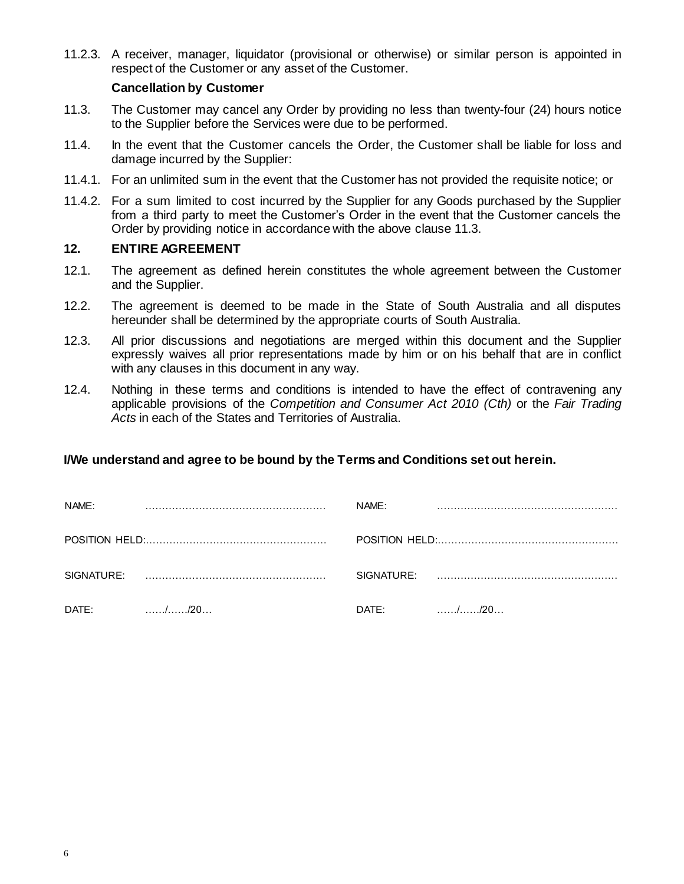11.2.3. A receiver, manager, liquidator (provisional or otherwise) or similar person is appointed in respect of the Customer or any asset of the Customer.

#### **Cancellation by Customer**

- 11.3. The Customer may cancel any Order by providing no less than twenty-four (24) hours notice to the Supplier before the Services were due to be performed.
- 11.4. In the event that the Customer cancels the Order, the Customer shall be liable for loss and damage incurred by the Supplier:
- 11.4.1. For an unlimited sum in the event that the Customer has not provided the requisite notice; or
- 11.4.2. For a sum limited to cost incurred by the Supplier for any Goods purchased by the Supplier from a third party to meet the Customer's Order in the event that the Customer cancels the Order by providing notice in accordance with the above clause 11.3.

#### **12. ENTIRE AGREEMENT**

- 12.1. The agreement as defined herein constitutes the whole agreement between the Customer and the Supplier.
- 12.2. The agreement is deemed to be made in the State of South Australia and all disputes hereunder shall be determined by the appropriate courts of South Australia.
- 12.3. All prior discussions and negotiations are merged within this document and the Supplier expressly waives all prior representations made by him or on his behalf that are in conflict with any clauses in this document in any way.
- 12.4. Nothing in these terms and conditions is intended to have the effect of contravening any applicable provisions of the *Competition and Consumer Act 2010 (Cth)* or the *Fair Trading Acts* in each of the States and Territories of Australia.

## **I/We understand and agree to be bound by the Terms and Conditions set out herein.**

| NAME:      |                                            | NAME:      |                                            |
|------------|--------------------------------------------|------------|--------------------------------------------|
|            |                                            |            |                                            |
| SIGNATURE: |                                            | SIGNATURE: |                                            |
| DATE:      | $\ldots \ldots \ldots \ldots \ldots$ ./20. | DATE:      | $\ldots \ldots \ldots \ldots \ldots$ ./20. |